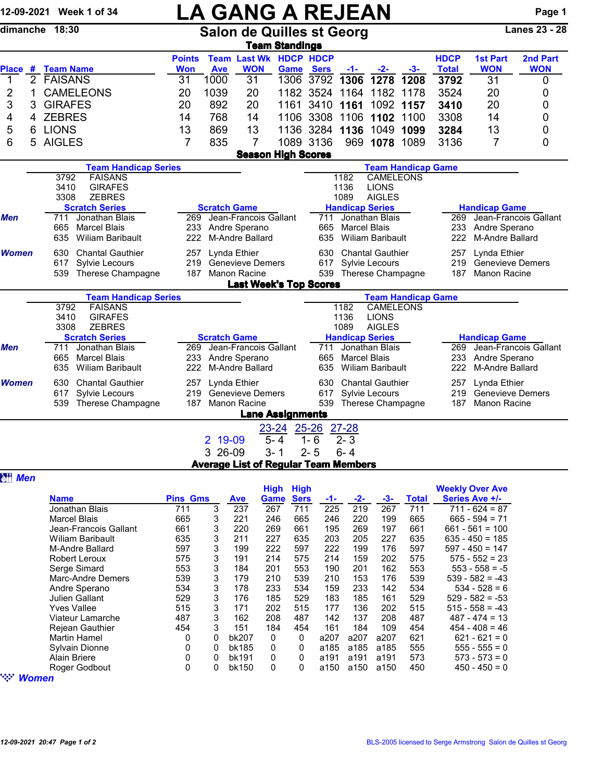|                |   | 12-09-2021 Week 1 of 34                                                   | <b>LA GANG A REJEAN</b>                                                                                                  |                                                                        |                                                           |                          |                      |                                     |                                                   |                                                       |                                                |                                        | Page 1                 |  |
|----------------|---|---------------------------------------------------------------------------|--------------------------------------------------------------------------------------------------------------------------|------------------------------------------------------------------------|-----------------------------------------------------------|--------------------------|----------------------|-------------------------------------|---------------------------------------------------|-------------------------------------------------------|------------------------------------------------|----------------------------------------|------------------------|--|
|                |   | dimanche 18:30                                                            |                                                                                                                          |                                                                        | <b>Salon de Quilles st Georg</b><br><b>Team Standings</b> |                          | <b>Lanes 23 - 28</b> |                                     |                                                   |                                                       |                                                |                                        |                        |  |
| <b>Place</b>   |   | # Team Name                                                               | <b>Points</b><br><b>Won</b>                                                                                              | <b>Ave</b>                                                             | <b>Team Last Wk HDCP HDCP</b><br><b>WON</b>               | Game                     | <b>Sers</b>          | $-1-$                               | <u>-2-</u>                                        | $-3-$                                                 | <b>HDCP</b><br><b>Total</b>                    | <b>1st Part</b><br><b>WON</b>          | 2nd Part<br><b>WON</b> |  |
| $\mathbf{1}$   |   | 2 FAISANS                                                                 | 31                                                                                                                       | 1000                                                                   | 31                                                        | 1306                     | 3792                 | 1306                                | 1278                                              | 1208                                                  | 3792                                           | 31                                     | 0                      |  |
| 2              | 1 | <b>CAMELEONS</b>                                                          | 20                                                                                                                       | 1039                                                                   | 20                                                        |                          | 1182 3524 1164       |                                     | 1182                                              | 1178                                                  | 3524                                           | 20                                     | 0                      |  |
| 3              | 3 | <b>GIRAFES</b>                                                            | 20                                                                                                                       | 892                                                                    | 20                                                        |                          | 1161 3410 1161       |                                     |                                                   | 1092 1157                                             | 3410                                           | 20                                     | 0                      |  |
| 4              | 4 | <b>ZEBRES</b>                                                             | 14                                                                                                                       | 768                                                                    | 14                                                        |                          | 1106 3308            |                                     | 1106 1102 1100                                    |                                                       | 3308                                           | 14                                     | 0                      |  |
| 5              | 6 | <b>LIONS</b>                                                              | 13                                                                                                                       | 869                                                                    | 13                                                        |                          | 1136 3284 1136 1049  |                                     |                                                   | 1099                                                  | 3284                                           | 13                                     | 0                      |  |
| 6              | 5 | <b>AIGLES</b>                                                             | 7                                                                                                                        | 835                                                                    | 7                                                         |                          | 1089 3136            |                                     | 969 1078                                          | 1089                                                  | 3136                                           | 7                                      | 0                      |  |
|                |   |                                                                           |                                                                                                                          |                                                                        | <b>Season High Scores</b>                                 |                          |                      |                                     |                                                   |                                                       |                                                |                                        |                        |  |
|                |   | <b>Team Handicap Series</b>                                               |                                                                                                                          |                                                                        | <b>Team Handicap Game</b>                                 |                          |                      |                                     |                                                   |                                                       |                                                |                                        |                        |  |
|                |   | 3792<br><b>FAISANS</b><br>3410<br><b>GIRAFES</b><br>3308<br><b>ZEBRES</b> |                                                                                                                          |                                                                        |                                                           |                          |                      | 1182<br>1136<br>1089                | <b>CAMELEONS</b><br><b>LIONS</b><br><b>AIGLES</b> |                                                       |                                                |                                        |                        |  |
|                |   | <b>Scratch Series</b>                                                     |                                                                                                                          | <b>Scratch Game</b>                                                    |                                                           |                          |                      |                                     | <b>Handicap Series</b>                            |                                                       |                                                | <b>Handicap Game</b>                   |                        |  |
| Men            |   | Jonathan Blais<br>711                                                     | 269                                                                                                                      |                                                                        | Jean-Francois Gallant                                     |                          | 711                  |                                     | Jonathan Blais                                    |                                                       |                                                | Jean-Francois Gallant<br>269           |                        |  |
|                |   | 665<br><b>Marcel Blais</b>                                                | 233                                                                                                                      |                                                                        | Andre Sperano                                             |                          | 665                  | <b>Marcel Blais</b>                 |                                                   |                                                       | 233                                            | Andre Sperano                          |                        |  |
|                |   | 635<br><b>Wiliam Baribault</b>                                            | 222                                                                                                                      |                                                                        | M-Andre Ballard                                           |                          | 635                  |                                     | <b>Wiliam Baribault</b>                           |                                                       | 222                                            | M-Andre Ballard                        |                        |  |
| Women          |   | 630<br><b>Chantal Gauthier</b>                                            | 257                                                                                                                      |                                                                        | Lynda Ethier                                              |                          | 630                  |                                     | <b>Chantal Gauthier</b>                           |                                                       |                                                | 257<br>Lynda Ethier                    |                        |  |
|                |   | 617<br>Sylvie Lecours                                                     | 219                                                                                                                      |                                                                        | <b>Genevieve Demers</b>                                   |                          | 617                  | Sylvie Lecours<br>Therese Champagne |                                                   |                                                       |                                                | 219<br><b>Genevieve Demers</b>         |                        |  |
|                |   | 539<br>Therese Champagne                                                  | 187                                                                                                                      |                                                                        | <b>Manon Racine</b>                                       |                          | 539                  |                                     |                                                   |                                                       | 187                                            | <b>Manon Racine</b>                    |                        |  |
|                |   |                                                                           |                                                                                                                          |                                                                        | <b>Last Week's Top Scores</b>                             |                          |                      |                                     |                                                   |                                                       |                                                |                                        |                        |  |
|                |   | <b>Team Handicap Series</b><br>3792<br><b>FAISANS</b>                     | <b>Team Handicap Game</b><br>1182<br><b>CAMELEONS</b>                                                                    |                                                                        |                                                           |                          |                      |                                     |                                                   |                                                       |                                                |                                        |                        |  |
|                |   | 3410<br><b>GIRAFES</b>                                                    |                                                                                                                          | 1136<br><b>LIONS</b>                                                   |                                                           |                          |                      |                                     |                                                   |                                                       |                                                |                                        |                        |  |
|                |   | <b>ZEBRES</b><br>3308                                                     |                                                                                                                          |                                                                        |                                                           |                          |                      | 1089                                | <b>AIGLES</b>                                     |                                                       |                                                |                                        |                        |  |
|                |   | <b>Scratch Series</b>                                                     |                                                                                                                          | <b>Scratch Game</b>                                                    |                                                           |                          |                      |                                     | <b>Handicap Series</b>                            |                                                       | <b>Handicap Game</b>                           |                                        |                        |  |
| <b>Men</b>     |   | Jonathan Blais<br>711                                                     | 269                                                                                                                      |                                                                        | Jean-Francois Gallant                                     |                          | 711                  |                                     | Jonathan Blais                                    |                                                       | Jean-Francois Gallant<br>269                   |                                        |                        |  |
|                |   | 665<br><b>Marcel Blais</b><br>635<br><b>Wiliam Baribault</b>              | 233<br>222                                                                                                               |                                                                        | Andre Sperano<br>M-Andre Ballard                          |                          | 665<br>635           | <b>Marcel Blais</b>                 | Wiliam Baribault                                  |                                                       | 233<br>Andre Sperano<br>222<br>M-Andre Ballard |                                        |                        |  |
|                |   |                                                                           |                                                                                                                          |                                                                        |                                                           |                          |                      |                                     |                                                   |                                                       |                                                |                                        |                        |  |
| Women          |   | 630<br><b>Chantal Gauthier</b>                                            | 257                                                                                                                      |                                                                        | Lynda Ethier                                              | 630                      |                      | <b>Chantal Gauthier</b>             |                                                   | Lynda Ethier<br>257<br>219<br><b>Genevieve Demers</b> |                                                |                                        |                        |  |
|                |   | 617<br>Sylvie Lecours<br>539<br>Therese Champagne                         | 219<br>187                                                                                                               |                                                                        | <b>Genevieve Demers</b>                                   | 617<br>539               |                      | Sylvie Lecours                      |                                                   | 187<br>Manon Racine                                   |                                                |                                        |                        |  |
|                |   |                                                                           | Manon Racine<br>Therese Champagne<br><b>Lane Assignments</b>                                                             |                                                                        |                                                           |                          |                      |                                     |                                                   |                                                       |                                                |                                        |                        |  |
|                |   |                                                                           |                                                                                                                          |                                                                        |                                                           | 23-24 25-26              |                      | $27 - 28$                           |                                                   |                                                       |                                                |                                        |                        |  |
|                |   |                                                                           |                                                                                                                          | 2 19-09                                                                |                                                           | $5 - 4$                  | $1 - 6$              | $2 - 3$                             |                                                   |                                                       |                                                |                                        |                        |  |
|                |   |                                                                           |                                                                                                                          | 3 26-09                                                                |                                                           | $3 - 1$                  | $2 - 5$              | $6 - 4$                             |                                                   |                                                       |                                                |                                        |                        |  |
|                |   |                                                                           |                                                                                                                          |                                                                        | <b>Average List of Regular Team Members</b>               |                          |                      |                                     |                                                   |                                                       |                                                |                                        |                        |  |
| <b>ett</b> Men |   |                                                                           |                                                                                                                          |                                                                        |                                                           |                          |                      |                                     |                                                   |                                                       |                                                |                                        |                        |  |
|                |   |                                                                           | <b>Weekly Over Ave</b><br><b>High High</b>                                                                               |                                                                        |                                                           |                          |                      |                                     |                                                   |                                                       |                                                |                                        |                        |  |
|                |   | <b>Name</b>                                                               | <b>Pins Gms</b><br><b>Sers</b><br><b>Game</b><br>$-2-$<br>$-3-$<br><b>Total</b><br>Series Ave +/-<br>$-1-$<br><b>Ave</b> |                                                                        |                                                           |                          |                      |                                     |                                                   |                                                       |                                                |                                        |                        |  |
|                |   | Jonathan Blais                                                            | 711                                                                                                                      | 3<br>225<br>219<br>267<br>711<br>$711 - 624 = 87$<br>237<br>267<br>711 |                                                           |                          |                      |                                     |                                                   |                                                       |                                                |                                        |                        |  |
|                |   | <b>Marcel Blais</b>                                                       | 665                                                                                                                      | 3                                                                      | 221                                                       | 246<br>665               | 246                  | 220                                 | 199                                               | 665                                                   |                                                | $665 - 594 = 71$                       |                        |  |
|                |   | Jean-Francois Gallant                                                     | 661                                                                                                                      | 3                                                                      | 220                                                       | 269<br>661               | 195                  | 269                                 | 197                                               | 661                                                   |                                                | $661 - 561 = 100$                      |                        |  |
|                |   | <b>Wiliam Baribault</b><br>M-Andre Ballard                                | 635<br>597                                                                                                               | 3<br>3                                                                 | 211<br>199                                                | 227<br>635<br>222<br>597 | 203<br>222           | 205<br>199                          | 227<br>176                                        | 635<br>597                                            |                                                | $635 - 450 = 185$<br>$597 - 450 = 147$ |                        |  |
|                |   | Robert Leroux                                                             | 575                                                                                                                      | 3                                                                      | 191                                                       | 214<br>575               | 214                  | 159                                 | 202                                               | 575                                                   |                                                | $575 - 552 = 23$                       |                        |  |

Robert Leroux 575 3 191 214 575 214 159 202 575 575 - 552 = 23

Andre Sperano 534 3 178 233 534 159 233 142 534 534 - 528 = 6 Julien Gallant 529 3 176 185 529 183 185 161 529 529 - 582 = -53

Viateur Lamarche 487 3 162 208 487 142 137 208 487 487 - 474 = 13 Rejean Gauthier 454 3 151 184 454 161 184 109 454 454 - 408 = 46 Martin Hamel 0 0 bk207 0 0 a207 a207 a207 621 621 - 621 = 0 Sylvain Dionne 0 0 bk185 0 0 a185 a185 a185 555 555 - 555 = 0

Marc-Andre Demers 539 3 179 210 539 210 153 176 539 539 - 582 = -43

3 184 201 553 190 201 162 553 553 - 558 = -5<br>3 179 210 539 210 153 176 539 539 - 582 = -43

a150 a150 a150

515 3 171 202 515 177 136 202 515 515 558 = -43<br>487 3 162 208 487 142 137 208 487 487 - 474 = 13

Alain Briere 0 0 bk191 0 0 a191 a191 a191 573 573 - 573 = 0 " *Women*